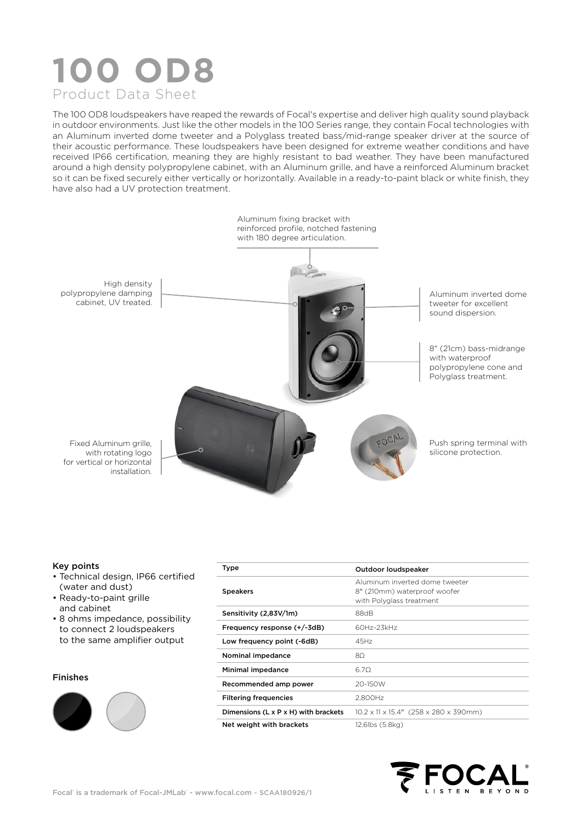# **100 OD8** Product Data Sheet

The 100 OD8 loudspeakers have reaped the rewards of Focal's expertise and deliver high quality sound playback in outdoor environments. Just like the other models in the 100 Series range, they contain Focal technologies with an Aluminum inverted dome tweeter and a Polyglass treated bass/mid-range speaker driver at the source of their acoustic performance. These loudspeakers have been designed for extreme weather conditions and have received IP66 certification, meaning they are highly resistant to bad weather. They have been manufactured around a high density polypropylene cabinet, with an Aluminum grille, and have a reinforced Aluminum bracket so it can be fixed securely either vertically or horizontally. Available in a ready-to-paint black or white finish, they have also had a UV protection treatment.



#### Key points

- Technical design, IP66 certified (water and dust)
- Ready-to-paint grille and cabinet
- 8 ohms impedance, possibility to connect 2 loudspeakers to the same amplifier output

#### Finishes



| Type                                 | Outdoor loudspeaker                                                                        |  |  |  |  |
|--------------------------------------|--------------------------------------------------------------------------------------------|--|--|--|--|
| <b>Speakers</b>                      | Aluminum inverted dome tweeter<br>8" (210mm) waterproof woofer<br>with Polyglass treatment |  |  |  |  |
| Sensitivity (2,83V/1m)               | 88dB                                                                                       |  |  |  |  |
| Frequency response (+/-3dB)          | 60Hz-23kHz                                                                                 |  |  |  |  |
| Low frequency point (-6dB)           | 45Hz                                                                                       |  |  |  |  |
| Nominal impedance                    | 80                                                                                         |  |  |  |  |
| Minimal impedance                    | 6.70                                                                                       |  |  |  |  |
| Recommended amp power                | 20-150W                                                                                    |  |  |  |  |
| <b>Filtering frequencies</b>         | 2.800Hz                                                                                    |  |  |  |  |
| Dimensions (L x P x H) with brackets | $10.2 \times 11 \times 15.4$ " (258 x 280 x 390mm)                                         |  |  |  |  |
| Net weight with brackets             | 12.6lbs (5.8kg)                                                                            |  |  |  |  |